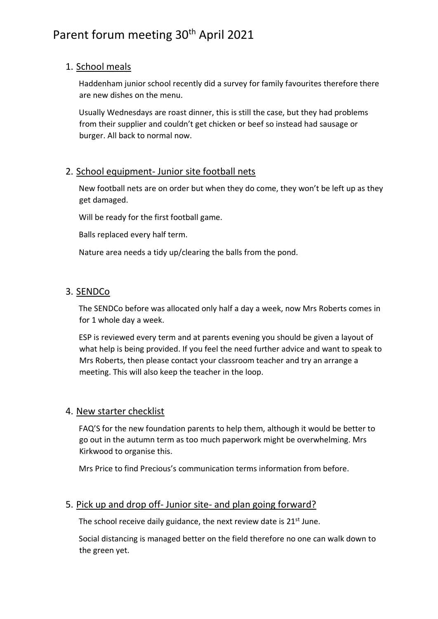# Parent forum meeting 30<sup>th</sup> April 2021

# 1. School meals

Haddenham junior school recently did a survey for family favourites therefore there are new dishes on the menu.

Usually Wednesdays are roast dinner, this is still the case, but they had problems from their supplier and couldn't get chicken or beef so instead had sausage or burger. All back to normal now.

## 2. School equipment- Junior site football nets

New football nets are on order but when they do come, they won't be left up as they get damaged.

Will be ready for the first football game.

Balls replaced every half term.

Nature area needs a tidy up/clearing the balls from the pond.

## 3. SENDCo

The SENDCo before was allocated only half a day a week, now Mrs Roberts comes in for 1 whole day a week.

ESP is reviewed every term and at parents evening you should be given a layout of what help is being provided. If you feel the need further advice and want to speak to Mrs Roberts, then please contact your classroom teacher and try an arrange a meeting. This will also keep the teacher in the loop.

### 4. New starter checklist

FAQ'S for the new foundation parents to help them, although it would be better to go out in the autumn term as too much paperwork might be overwhelming. Mrs Kirkwood to organise this.

Mrs Price to find Precious's communication terms information from before.

# 5. Pick up and drop off- Junior site- and plan going forward?

The school receive daily guidance, the next review date is  $21^{st}$  June.

Social distancing is managed better on the field therefore no one can walk down to the green yet.